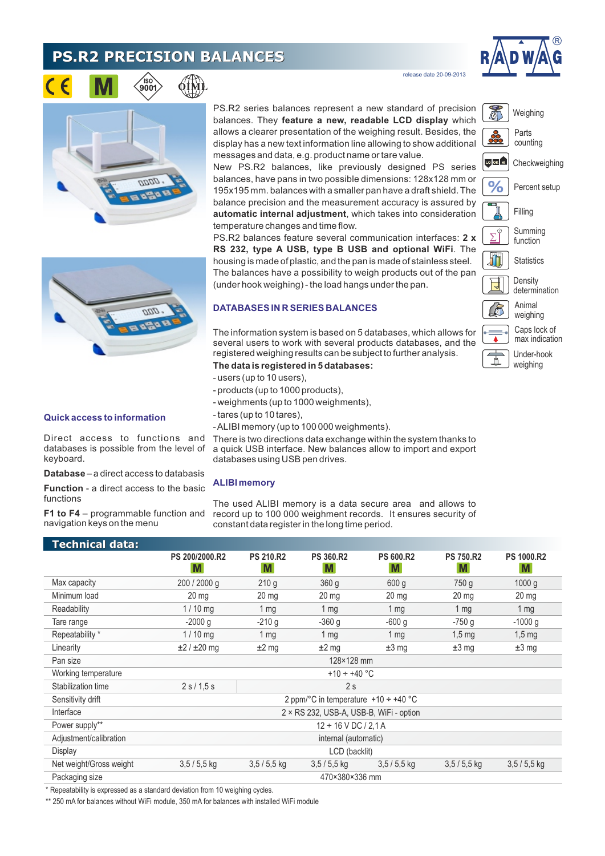# **PS.R2 PRECISION BALANCES**

∕iso`<br>900



release date 20-09-2013





#### **Quick access to information**

Direct access to functions and databases is possible from the level of keyboard.

**Database** – a direct access to databasis

**Function** - a direct access to the basic functions

**F1 to F4** – programmable function and navigation keys on the menu

PS.R2 series balances represent a new standard of precision balances. They **feature a new, readable LCD display** which allows a clearer presentation of the weighing result. Besides, the display has a new text information line allowing to show additional messages and data, e.g. product name or tare value.

New PS.R2 balances, like previously designed PS series balances, have pans in two possible dimensions: 128x128 mm or 195x195 mm. balances with a smaller pan have a draft shield. The balance precision and the measurement accuracy is assured by **automatic internal adjustment**, which takes into consideration temperature changes and time flow.

PS.R2 balances feature several communication interfaces: **2 x RS 232, type A USB, type B USB and optional WiFi**. The housing is made of plastic, and the pan is made of stainless steel. The balances have a possibility to weigh products out of the pan (under hook weighing) - the load hangs under the pan.

#### **DATABASES IN R SERIES BALANCES**

The information system is based on 5 databases, which allows for several users to work with several products databases, and the registered weighing results can be subject to further analysis.

#### **The data is registered in 5 databases:**

- users (up to 10 users),
- products (up to 1000 products),
- weighments (up to 1000 weighments),
- tares (up to 10 tares),
- ALIBI memory (up to 100 000 weighments).

There is two directions data exchange within the system thanks to a quick USB interface. New balances allow to import and export databases using USB pen drives.

#### **ALIBI memory**

The used ALIBI memory is a data secure area and allows to record up to 100 000 weighment records. It ensures security of constant data register in the long time period.

| Technical data:         |                                           |                        |                  |                  |                  |                   |
|-------------------------|-------------------------------------------|------------------------|------------------|------------------|------------------|-------------------|
|                         | PS 200/2000.R2                            | <b>PS 210.R2</b>       | <b>PS 360.R2</b> | <b>PS 600.R2</b> | <b>PS 750.R2</b> | <b>PS 1000.R2</b> |
|                         | M                                         | M                      | M                | M                | M                | <b>M</b>          |
| Max capacity            | 200 / 2000 g                              | 210q                   | 360 <sub>q</sub> | 600q             | 750 g            | 1000 g            |
| Minimum load            | 20 <sub>mg</sub>                          | 20 <sub>mg</sub>       | 20 <sub>mg</sub> | 20 <sub>mg</sub> | 20 <sub>mg</sub> | $20 \text{ mg}$   |
| Readability             | $1/10$ mg                                 | 1 <sub>mq</sub>        | 1 <sub>mq</sub>  | $1 \, \text{mg}$ | 1 <sub>mq</sub>  | 1 <sub>mq</sub>   |
| Tare range              | $-2000q$                                  | $-210q$                | $-360q$          | $-600q$          | $-750q$          | $-1000 g$         |
| Repeatability *         | $1/10$ mg                                 | 1 <sub>mq</sub>        | 1 <sub>mq</sub>  | 1 <sub>mg</sub>  | $1,5$ mg         | $1,5$ mg          |
| Linearity               | $\pm 2 / \pm 20$ mg                       | $±2$ mg                | $±2$ mg          | $±3$ mg          | $±3$ mg          | $±3$ mg           |
| Pan size                | 128×128 mm                                |                        |                  |                  |                  |                   |
| Working temperature     |                                           | +10 ÷ +40 $^{\circ}$ C |                  |                  |                  |                   |
| Stabilization time      | 2 s / 1.5 s                               | 2s                     |                  |                  |                  |                   |
| Sensitivity drift       | 2 ppm/°C in temperature $+10 \div +40$ °C |                        |                  |                  |                  |                   |
| Interface               | 2 × RS 232, USB-A, USB-B, WiFi - option   |                        |                  |                  |                  |                   |
| Power supply**          | $12 \div 16$ V DC / 2.1 A                 |                        |                  |                  |                  |                   |
| Adjustment/calibration  | internal (automatic)                      |                        |                  |                  |                  |                   |
| Display                 | LCD (backlit)                             |                        |                  |                  |                  |                   |
| Net weight/Gross weight | $3,5/5,5$ kg                              | $3.5/5.5$ kg           | $3.5/5.5$ kg     | $3.5/5.5$ kg     | $3,5/5,5$ kg     | $3,5/5,5$ kg      |
| Packaging size          | 470×380×336 mm                            |                        |                  |                  |                  |                   |

\* Repeatability is expressed as a standard deviation from 10 weighing cycles.

\*\* 250 mA for balances without WiFi module, 350 mA for balances with installed WiFi module



加 **Statistics** 

> **Density** determination

function



weighing

Caps lock of max indication

Under-hook weighing